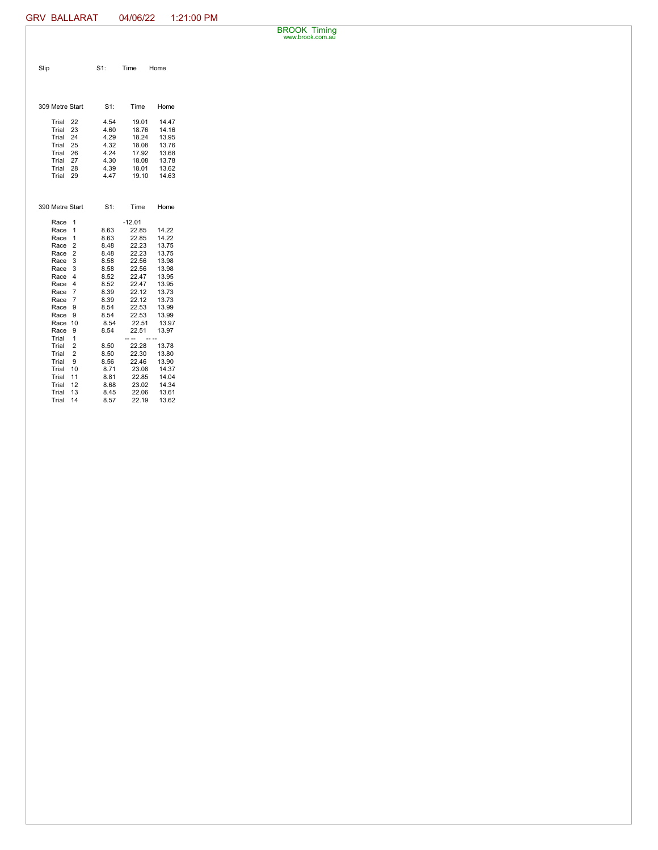BROOK Timing www.brook.com.au

| Slip                     | $S1$ :       | Time           | Home           |
|--------------------------|--------------|----------------|----------------|
|                          |              |                |                |
| 309 Metre Start          | $S1$ :       | Time           | Home           |
| Trial<br>22              | 4.54         | 19.01          | 14.47          |
| Trial<br>23              | 4.60         | 18.76          | 14.16          |
| 24<br>Trial              | 4.29         | 18.24          | 13.95          |
| Trial<br>25              | 4.32         | 18.08          | 13.76          |
| 26<br>Trial              | 4.24         | 17.92          | 13.68          |
| 27<br>Trial              | 4.30         | 18.08          | 13.78          |
| Trial<br>28              | 4.39         | 18.01          | 13.62          |
| Trial<br>29              | 4.47         | 19.10          | 14.63          |
| 390 Metre Start          | S1:          | Time           | Home           |
| Race<br>1                |              | $-12.01$       |                |
| Race<br>1                | 8.63         | 22.85          | 14.22          |
| Race<br>1                | 8.63         | 22.85          | 14.22          |
| $\overline{2}$<br>Race   | 8.48         | 22.23          | 13.75          |
| $\overline{2}$<br>Race   | 8.48         | 22.23          | 13.75          |
| 3<br>Race                | 8.58         | 22.56          | 13.98          |
| Race<br>3                | 8.58         | 22.56          | 13.98          |
| Race<br>4                | 8.52         | 22.47          | 13.95          |
| 4<br>Race                | 8.52         | 22.47          | 13.95          |
| $\overline{7}$<br>Race   | 8.39         | 22.12          | 13.73          |
| Race<br>$\overline{7}$   | 8.39         | 22.12          | 13.73          |
| Race<br>9                | 8.54         | 22.53          | 13.99          |
| Race<br>9                | 8.54         | 22.53          | 13.99          |
| Race<br>10               | 8.54         | 22.51          | 13.97          |
| Race<br>9                | 8.54         | 22.51          | 13.97          |
| Trial<br>1               |              |                |                |
| Trial<br>2<br>Trial<br>2 | 8.50<br>8.50 | 22.28<br>22.30 | 13.78<br>13.80 |
| Trial<br>9               | 8.56         | 22.46          | 13.90          |
| Trial<br>10              | 8.71         | 23.08          | 14.37          |
| Trial<br>11              | 8.81         | 22.85          | 14.04          |
| Trial<br>12              | 8.68         | 23.02          | 14.34          |
| 13<br>Trial              | 8.45         | 22.06          | 13.61          |
| Trial<br>14              | 8.57         | 22.19          | 13.62          |